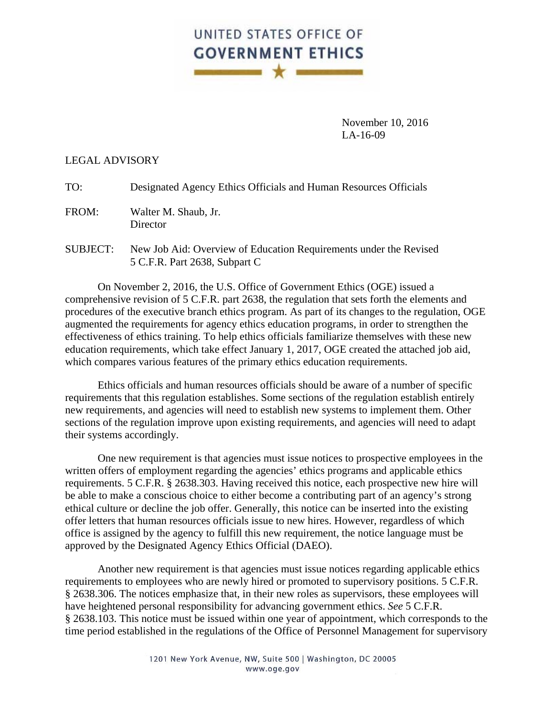## UNITED STATES OFFICE OF **GOVERNMENT ETHICS BERKER HE X REPORTED**

 November 10, 2016 LA-16-09

## LEGAL ADVISORY

| TO: | Designated Agency Ethics Officials and Human Resources Officials |  |  |
|-----|------------------------------------------------------------------|--|--|
|     |                                                                  |  |  |

- FROM: Walter M. Shaub, Jr. **Director**
- SUBJECT: New Job Aid: Overview of Education Requirements under the Revised 5 C.F.R. Part 2638, Subpart C

 On November 2, 2016, the U.S. Office of Government Ethics (OGE) issued a comprehensive revision of 5 C.F.R. part 2638, the regulation that sets forth the elements and procedures of the executive branch ethics program. As part of its changes to the regulation, OGE augmented the requirements for agency ethics education programs, in order to strengthen the effectiveness of ethics training. To help ethics officials familiarize themselves with these new education requirements, which take effect January 1, 2017, OGE created the attached job aid, which compares various features of the primary ethics education requirements.

 Ethics officials and human resources officials should be aware of a number of specific requirements that this regulation establishes. Some sections of the regulation establish entirely new requirements, and agencies will need to establish new systems to implement them. Other sections of the regulation improve upon existing requirements, and agencies will need to adapt their systems accordingly.

 One new requirement is that agencies must issue notices to prospective employees in the written offers of employment regarding the agencies' ethics programs and applicable ethics requirements. 5 C.F.R. § 2638.303. Having received this notice, each prospective new hire will be able to make a conscious choice to either become a contributing part of an agency's strong ethical culture or decline the job offer. Generally, this notice can be inserted into the existing offer letters that human resources officials issue to new hires. However, regardless of which office is assigned by the agency to fulfill this new requirement, the notice language must be approved by the Designated Agency Ethics Official (DAEO).

 Another new requirement is that agencies must issue notices regarding applicable ethics requirements to employees who are newly hired or promoted to supervisory positions. 5 C.F.R. § 2638.306. The notices emphasize that, in their new roles as supervisors, these employees will have heightened personal responsibility for advancing government ethics. *See* 5 C.F.R. § 2638.103. This notice must be issued within one year of appointment, which corresponds to the time period established in the regulations of the Office of Personnel Management for supervisory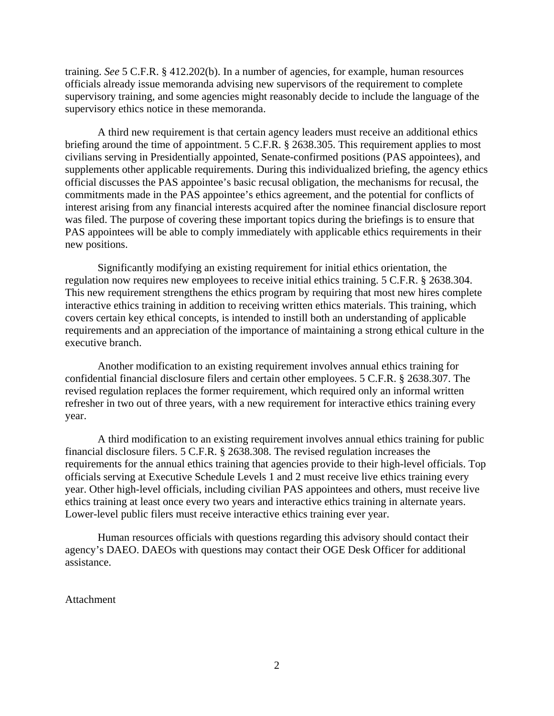training. *See* 5 C.F.R. § 412.202(b). In a number of agencies, for example, human resources officials already issue memoranda advising new supervisors of the requirement to complete supervisory training, and some agencies might reasonably decide to include the language of the supervisory ethics notice in these memoranda.

 A third new requirement is that certain agency leaders must receive an additional ethics briefing around the time of appointment. 5 C.F.R. § 2638.305. This requirement applies to most civilians serving in Presidentially appointed, Senate-confirmed positions (PAS appointees), and supplements other applicable requirements. During this individualized briefing, the agency ethics official discusses the PAS appointee's basic recusal obligation, the mechanisms for recusal, the commitments made in the PAS appointee's ethics agreement, and the potential for conflicts of interest arising from any financial interests acquired after the nominee financial disclosure report was filed. The purpose of covering these important topics during the briefings is to ensure that PAS appointees will be able to comply immediately with applicable ethics requirements in their new positions.

 Significantly modifying an existing requirement for initial ethics orientation, the regulation now requires new employees to receive initial ethics training. 5 C.F.R. § 2638.304. This new requirement strengthens the ethics program by requiring that most new hires complete interactive ethics training in addition to receiving written ethics materials. This training, which covers certain key ethical concepts, is intended to instill both an understanding of applicable requirements and an appreciation of the importance of maintaining a strong ethical culture in the executive branch.

 Another modification to an existing requirement involves annual ethics training for confidential financial disclosure filers and certain other employees. 5 C.F.R. § 2638.307. The revised regulation replaces the former requirement, which required only an informal written refresher in two out of three years, with a new requirement for interactive ethics training every year.

 A third modification to an existing requirement involves annual ethics training for public financial disclosure filers. 5 C.F.R. § 2638.308. The revised regulation increases the requirements for the annual ethics training that agencies provide to their high-level officials. Top officials serving at Executive Schedule Levels 1 and 2 must receive live ethics training every year. Other high-level officials, including civilian PAS appointees and others, must receive live ethics training at least once every two years and interactive ethics training in alternate years. Lower-level public filers must receive interactive ethics training ever year.

 Human resources officials with questions regarding this advisory should contact their agency's DAEO. DAEOs with questions may contact their OGE Desk Officer for additional assistance.

Attachment